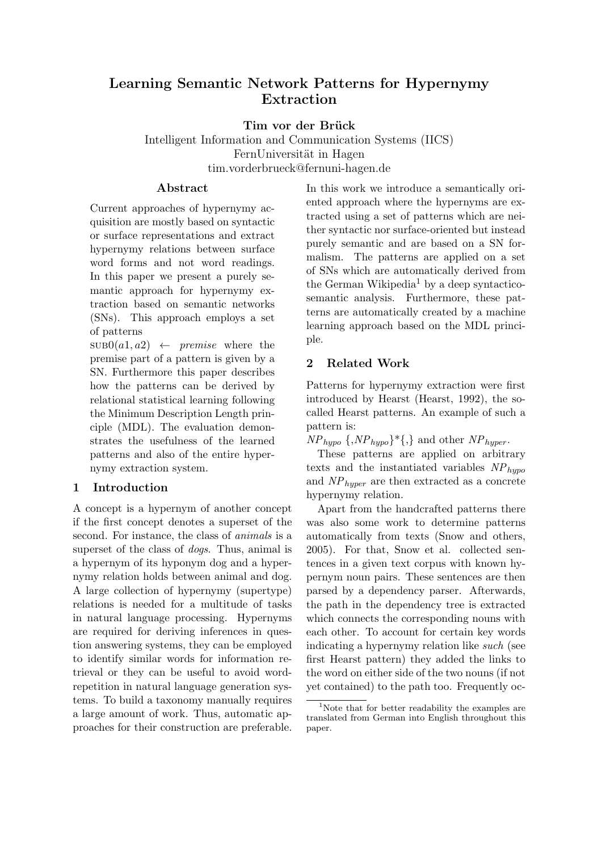# Learning Semantic Network Patterns for Hypernymy Extraction

Tim vor der Brück

Intelligent Information and Communication Systems (IICS) FernUniversität in Hagen tim.vorderbrueck@fernuni-hagen.de

## Abstract

Current approaches of hypernymy acquisition are mostly based on syntactic or surface representations and extract hypernymy relations between surface word forms and not word readings. In this paper we present a purely semantic approach for hypernymy extraction based on semantic networks (SNs). This approach employs a set of patterns

 $\text{SUB0}(a1, a2) \leftarrow \text{premise}$  where the premise part of a pattern is given by a SN. Furthermore this paper describes how the patterns can be derived by relational statistical learning following the Minimum Description Length principle (MDL). The evaluation demonstrates the usefulness of the learned patterns and also of the entire hypernymy extraction system.

## 1 Introduction

A concept is a hypernym of another concept if the first concept denotes a superset of the second. For instance, the class of animals is a superset of the class of dogs. Thus, animal is a hypernym of its hyponym dog and a hypernymy relation holds between animal and dog. A large collection of hypernymy (supertype) relations is needed for a multitude of tasks in natural language processing. Hypernyms are required for deriving inferences in question answering systems, they can be employed to identify similar words for information retrieval or they can be useful to avoid wordrepetition in natural language generation systems. To build a taxonomy manually requires a large amount of work. Thus, automatic approaches for their construction are preferable.

In this work we introduce a semantically oriented approach where the hypernyms are extracted using a set of patterns which are neither syntactic nor surface-oriented but instead purely semantic and are based on a SN formalism. The patterns are applied on a set of SNs which are automatically derived from the German Wikipedia<sup>1</sup> by a deep syntacticosemantic analysis. Furthermore, these patterns are automatically created by a machine learning approach based on the MDL principle.

# 2 Related Work

Patterns for hypernymy extraction were first introduced by Hearst (Hearst, 1992), the socalled Hearst patterns. An example of such a pattern is:

 $NP_{hypo} \{NP_{hypo}\}^*\{\}$  and other  $NP_{hyper}$ .

These patterns are applied on arbitrary texts and the instantiated variables  $NP_{hypo}$ and  $NP_{huper}$  are then extracted as a concrete hypernymy relation.

Apart from the handcrafted patterns there was also some work to determine patterns automatically from texts (Snow and others, 2005). For that, Snow et al. collected sentences in a given text corpus with known hypernym noun pairs. These sentences are then parsed by a dependency parser. Afterwards, the path in the dependency tree is extracted which connects the corresponding nouns with each other. To account for certain key words indicating a hypernymy relation like such (see first Hearst pattern) they added the links to the word on either side of the two nouns (if not yet contained) to the path too. Frequently oc-

<sup>&</sup>lt;sup>1</sup>Note that for better readability the examples are translated from German into English throughout this paper.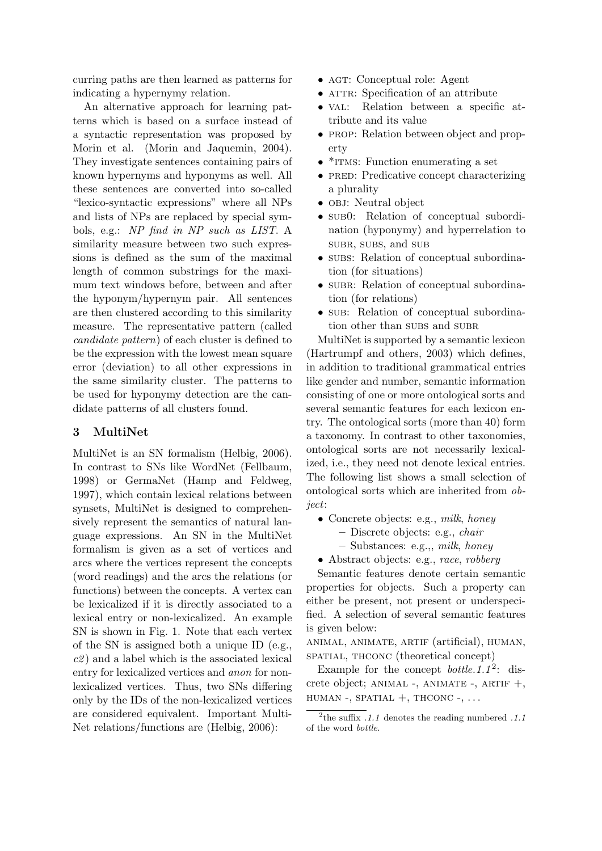curring paths are then learned as patterns for indicating a hypernymy relation.

An alternative approach for learning patterns which is based on a surface instead of a syntactic representation was proposed by Morin et al. (Morin and Jaquemin, 2004). They investigate sentences containing pairs of known hypernyms and hyponyms as well. All these sentences are converted into so-called "lexico-syntactic expressions" where all NPs and lists of NPs are replaced by special symbols, e.g.: NP find in NP such as LIST. A similarity measure between two such expressions is defined as the sum of the maximal length of common substrings for the maximum text windows before, between and after the hyponym/hypernym pair. All sentences are then clustered according to this similarity measure. The representative pattern (called candidate pattern) of each cluster is defined to be the expression with the lowest mean square error (deviation) to all other expressions in the same similarity cluster. The patterns to be used for hyponymy detection are the candidate patterns of all clusters found.

## 3 MultiNet

MultiNet is an SN formalism (Helbig, 2006). In contrast to SNs like WordNet (Fellbaum, 1998) or GermaNet (Hamp and Feldweg, 1997), which contain lexical relations between synsets, MultiNet is designed to comprehensively represent the semantics of natural language expressions. An SN in the MultiNet formalism is given as a set of vertices and arcs where the vertices represent the concepts (word readings) and the arcs the relations (or functions) between the concepts. A vertex can be lexicalized if it is directly associated to a lexical entry or non-lexicalized. An example SN is shown in Fig. 1. Note that each vertex of the SN is assigned both a unique ID (e.g.,  $c2$ ) and a label which is the associated lexical entry for lexicalized vertices and anon for nonlexicalized vertices. Thus, two SNs differing only by the IDs of the non-lexicalized vertices are considered equivalent. Important Multi-Net relations/functions are (Helbig, 2006):

- AGT: Conceptual role: Agent
- ATTR: Specification of an attribute
- VAL: Relation between a specific attribute and its value
- PROP: Relation between object and property
- $\bullet$  \*ITMS: Function enumerating a set
- PRED: Predicative concept characterizing a plurality
- OBJ: Neutral object
- SUB0: Relation of conceptual subordination (hyponymy) and hyperrelation to subr, subs, and sub
- subs: Relation of conceptual subordination (for situations)
- SUBR: Relation of conceptual subordination (for relations)
- subst Relation of conceptual subordination other than subs and subra

MultiNet is supported by a semantic lexicon (Hartrumpf and others, 2003) which defines, in addition to traditional grammatical entries like gender and number, semantic information consisting of one or more ontological sorts and several semantic features for each lexicon entry. The ontological sorts (more than 40) form a taxonomy. In contrast to other taxonomies, ontological sorts are not necessarily lexicalized, i.e., they need not denote lexical entries. The following list shows a small selection of ontological sorts which are inherited from object:

- Concrete objects: e.g., *milk*, *honey* 
	- Discrete objects: e.g., chair
	- Substances: e.g.,, milk, honey
- Abstract objects: e.g., race, robbery

Semantic features denote certain semantic properties for objects. Such a property can either be present, not present or underspecified. A selection of several semantic features is given below:

animal, animate, artif (artificial), human, spatial, theoretical concept)

Example for the concept *bottle.1.1*<sup>2</sup>: discrete object; ANIMAL -, ANIMATE -, ARTIF  $+,$  $HUMAN -$ ,  $SPATIAL +$ ,  $THCONC -$ , ...

<sup>&</sup>lt;sup>2</sup>the suffix  $.1.1$  denotes the reading numbered  $.1.1$ of the word bottle.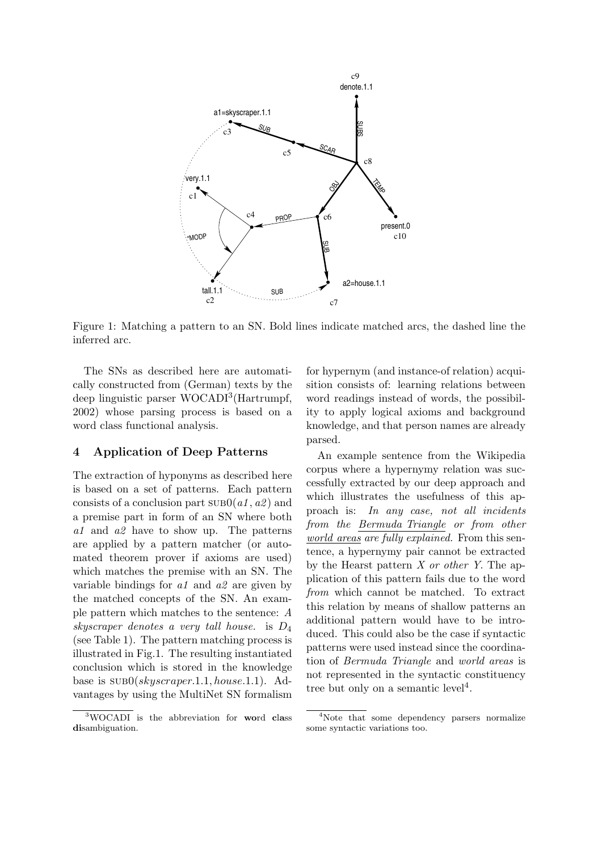

Figure 1: Matching a pattern to an SN. Bold lines indicate matched arcs, the dashed line the inferred arc.

The SNs as described here are automatically constructed from (German) texts by the deep linguistic parser WOCADI<sup>3</sup>(Hartrumpf, 2002) whose parsing process is based on a word class functional analysis.

#### 4 Application of Deep Patterns

The extraction of hyponyms as described here is based on a set of patterns. Each pattern consists of a conclusion part  $\text{SUB0}(a1, a2)$  and a premise part in form of an SN where both a1 and a2 have to show up. The patterns are applied by a pattern matcher (or automated theorem prover if axioms are used) which matches the premise with an SN. The variable bindings for  $a1$  and  $a2$  are given by the matched concepts of the SN. An example pattern which matches to the sentence: A skyscraper denotes a very tall house. is  $D_4$ (see Table 1). The pattern matching process is illustrated in Fig.1. The resulting instantiated conclusion which is stored in the knowledge base is  $SUB0(skuscraper.1.1, house.1.1)$ . Advantages by using the MultiNet SN formalism

for hypernym (and instance-of relation) acquisition consists of: learning relations between word readings instead of words, the possibility to apply logical axioms and background knowledge, and that person names are already parsed.

An example sentence from the Wikipedia corpus where a hypernymy relation was successfully extracted by our deep approach and which illustrates the usefulness of this approach is: In any case, not all incidents from the Bermuda Triangle or from other world areas are fully explained. From this sentence, a hypernymy pair cannot be extracted by the Hearst pattern  $X$  or other  $Y$ . The application of this pattern fails due to the word from which cannot be matched. To extract this relation by means of shallow patterns an additional pattern would have to be introduced. This could also be the case if syntactic patterns were used instead since the coordination of Bermuda Triangle and world areas is not represented in the syntactic constituency tree but only on a semantic level<sup>4</sup>.

<sup>3</sup>WOCADI is the abbreviation for word class disambiguation.

<sup>&</sup>lt;sup>4</sup>Note that some dependency parsers normalize some syntactic variations too.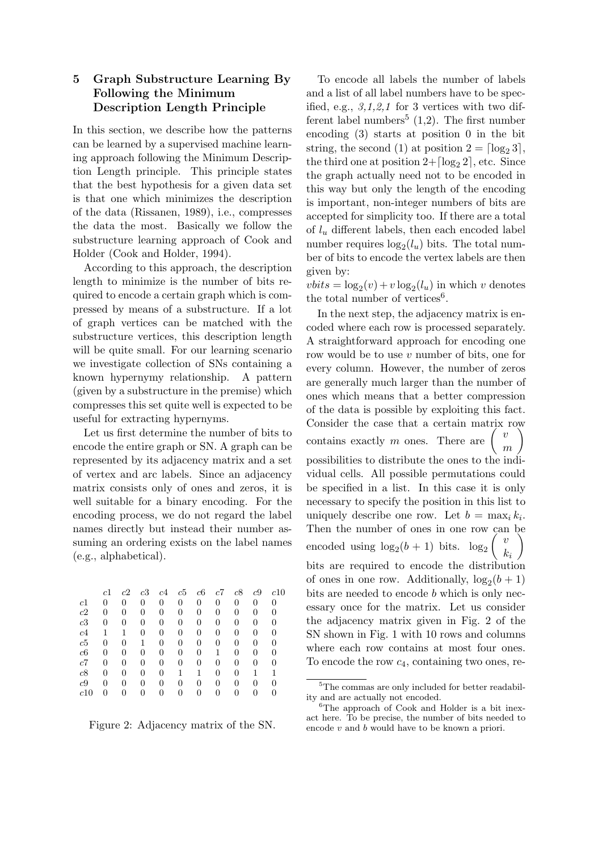# 5 Graph Substructure Learning By Following the Minimum Description Length Principle

In this section, we describe how the patterns can be learned by a supervised machine learning approach following the Minimum Description Length principle. This principle states that the best hypothesis for a given data set is that one which minimizes the description of the data (Rissanen, 1989), i.e., compresses the data the most. Basically we follow the substructure learning approach of Cook and Holder (Cook and Holder, 1994).

According to this approach, the description length to minimize is the number of bits required to encode a certain graph which is compressed by means of a substructure. If a lot of graph vertices can be matched with the substructure vertices, this description length will be quite small. For our learning scenario we investigate collection of SNs containing a known hypernymy relationship. A pattern (given by a substructure in the premise) which compresses this set quite well is expected to be useful for extracting hypernyms.

Let us first determine the number of bits to encode the entire graph or SN. A graph can be represented by its adjacency matrix and a set of vertex and arc labels. Since an adjacency matrix consists only of ones and zeros, it is well suitable for a binary encoding. For the encoding process, we do not regard the label names directly but instead their number assuming an ordering exists on the label names (e.g., alphabetical).

|          | c1       | c2       | c3 | c4 | $_{c5}$ | $_{c6}$ | c7 | c8       | c9 | c10      |
|----------|----------|----------|----|----|---------|---------|----|----------|----|----------|
| c1       | 0        | 0        | 0  | 0  | 0       | 0       | 0  | 0        | 0  | 0        |
| c2       | 0        | 0        | 0  | 0  | 0       | 0       | 0  | O        | 0  | 0        |
| c3       | 0        | 0        | 0  | 0  | 0       | 0       | 0  | 0        | 0  | 0        |
| c4       |          | 1        | 0  | 0  | 0       | 0       | 0  | 0        | 0  | 0        |
| c5       | 0        | $^{(1)}$ | 1  | 0  | 0       | 0       | 0  | O        | 0  | $^{(1)}$ |
| $_{c6}$  | 0        | 0        | 0  | 0  | 0       | 0       | 1  | 0        | 0  | 0        |
| c7       | 0        | 0        | 0  | 0  | 0       | 0       | 0  | 0        | 0  | 0        |
| c8       | $\theta$ | $^{(1)}$ | 0  | 0  | 1       | 1       | 0  | $^{(1)}$ |    | 1        |
| c9       | 0        | 0        | 0  | 0  | 0       | 0       | 0  | 0        | 0  | 0        |
| $_{c10}$ |          |          |    | 0  |         |         | 0  |          |    |          |

Figure 2: Adjacency matrix of the SN.

To encode all labels the number of labels and a list of all label numbers have to be specified, e.g.,  $3.1.2.1$  for 3 vertices with two different label numbers<sup>5</sup>  $(1,2)$ . The first number encoding (3) starts at position 0 in the bit string, the second (1) at position  $2 = \lceil \log_2 3 \rceil$ , the third one at position  $2+[\log_2 2]$ , etc. Since the graph actually need not to be encoded in this way but only the length of the encoding is important, non-integer numbers of bits are accepted for simplicity too. If there are a total of  $l_u$  different labels, then each encoded label number requires  $log_2(l_u)$  bits. The total number of bits to encode the vertex labels are then given by:

 $vbits = log<sub>2</sub>(v) + v log<sub>2</sub>(l<sub>u</sub>)$  in which v denotes the total number of vertices<sup>6</sup>.

In the next step, the adjacency matrix is encoded where each row is processed separately. A straightforward approach for encoding one row would be to use v number of bits, one for every column. However, the number of zeros are generally much larger than the number of ones which means that a better compression of the data is possible by exploiting this fact. Consider the case that a certain matrix row contains exactly m ones. There are  $\begin{pmatrix} v \\ v \end{pmatrix}$ m  $\setminus$ possibilities to distribute the ones to the individual cells. All possible permutations could be specified in a list. In this case it is only necessary to specify the position in this list to uniquely describe one row. Let  $b = \max_i k_i$ . Then the number of ones in one row can be encoded using  $\log_2(b+1)$  bits.  $\log_2\left(\frac{b+1}{b+1}\right)$ v  $k_i$  $\setminus$ bits are required to encode the distribution of ones in one row. Additionally,  $\log_2(b+1)$ bits are needed to encode b which is only necessary once for the matrix. Let us consider the adjacency matrix given in Fig. 2 of the SN shown in Fig. 1 with 10 rows and columns where each row contains at most four ones. To encode the row  $c_4$ , containing two ones, re-

 ${}^{5}{\rm The}$  commas are only included for better readability and are actually not encoded.

<sup>6</sup>The approach of Cook and Holder is a bit inexact here. To be precise, the number of bits needed to encode v and b would have to be known a priori.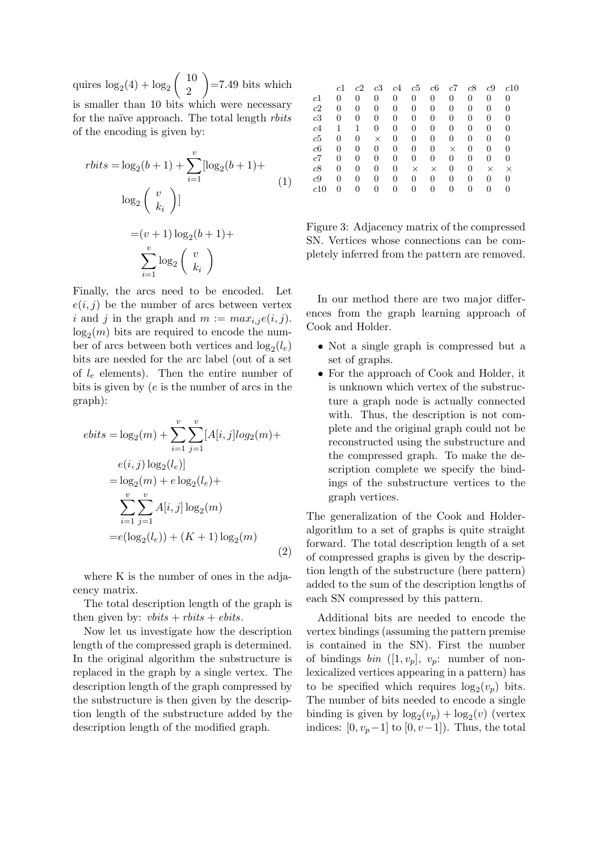quires  $\log_2(4) + \log_2\left(\begin{array}{c} 10\\2 \end{array}\right)$ 2  $=7.49$  bits which is smaller than 10 bits which were necessary for the naïve approach. The total length *rbits* of the encoding is given by:

$$
rbits = \log_2(b+1) + \sum_{i=1}^{v} [\log_2(b+1) +
$$
  

$$
\log_2 \binom{v}{k_i}]
$$
  

$$
= (v+1)\log_2(b+1) +
$$
  

$$
\sum_{i=1}^{v} \log_2 \binom{v}{k_i}
$$
 (1)

Finally, the arcs need to be encoded. Let  $e(i, j)$  be the number of arcs between vertex i and j in the graph and  $m := max_{i,j}e(i,j)$ .  $log<sub>2</sub>(m)$  bits are required to encode the number of arcs between both vertices and  $log_2(l_e)$ bits are needed for the arc label (out of a set of  $l_e$  elements). Then the entire number of bits is given by (e is the number of arcs in the graph):

$$
ebits = \log_2(m) + \sum_{i=1}^{v} \sum_{j=1}^{v} [A[i,j]log_2(m) +
$$
  
\n
$$
e(i,j) \log_2(l_e)]
$$
  
\n
$$
= \log_2(m) + e \log_2(l_e) +
$$
  
\n
$$
\sum_{i=1}^{v} \sum_{j=1}^{v} A[i,j] \log_2(m)
$$
  
\n
$$
= e(\log_2(l_e)) + (K+1) \log_2(m)
$$
 (2)

where K is the number of ones in the adjacency matrix.

The total description length of the graph is then given by:  $vbits + rbits + ebits$ .

Now let us investigate how the description length of the compressed graph is determined. In the original algorithm the substructure is replaced in the graph by a single vertex. The description length of the graph compressed by the substructure is then given by the description length of the substructure added by the description length of the modified graph.

|         | c1 | c2 | $_{c3}$  | c4 | c5 | $_{c6}$ | c7       | $_{c8}$ | $_{c9}$ | c10 |
|---------|----|----|----------|----|----|---------|----------|---------|---------|-----|
| c1      | 0  | 0  | 0        | 0  | 0  | 0       | 0        | 0       | 0       |     |
| c2      | O  | 0  | 0        | 0  | 0  | 0       | 0        | 0       | 0       |     |
| c3      | 0  | 0  | 0        | 0  | 0  | 0       | 0        | 0       | 0       |     |
| c4      |    |    | 0        | 0  | 0  | 0       | 0        | 0       | 0       |     |
| $_{c5}$ | 0  | 0  | $\times$ | 0  | 0  | 0       | 0        | 0       | O       |     |
| $_{c6}$ | 0  | 0  | 0        | 0  | 0  | 0       | $\times$ | 0       | 0       |     |
| c7      | 0  | 0  | 0        | 0  | 0  | 0       | 0        | 0       | 0       |     |
| c8      | O  | 0  | 0        | 0  | ×  | ×       | O        | 0       | ×       | ×   |
| c9      | 0  | 0  | 0        | 0  | 0  | 0       | 0        | 0       | 0       |     |
| c10     |    |    |          |    | 0  |         |          | 0       |         |     |

Figure 3: Adjacency matrix of the compressed SN. Vertices whose connections can be completely inferred from the pattern are removed.

In our method there are two major differences from the graph learning approach of Cook and Holder.

- Not a single graph is compressed but a set of graphs.
- For the approach of Cook and Holder, it is unknown which vertex of the substructure a graph node is actually connected with. Thus, the description is not complete and the original graph could not be reconstructed using the substructure and the compressed graph. To make the description complete we specify the bindings of the substructure vertices to the graph vertices.

The generalization of the Cook and Holderalgorithm to a set of graphs is quite straight forward. The total description length of a set of compressed graphs is given by the description length of the substructure (here pattern) added to the sum of the description lengths of each SN compressed by this pattern.

Additional bits are needed to encode the vertex bindings (assuming the pattern premise is contained in the SN). First the number of bindings bin  $([1, v_p], v_p$ : number of nonlexicalized vertices appearing in a pattern) has to be specified which requires  $\log_2(v_p)$  bits. The number of bits needed to encode a single binding is given by  $\log_2(v_p) + \log_2(v)$  (vertex indices:  $[0, v_p-1]$  to  $[0, v-1]$ ). Thus, the total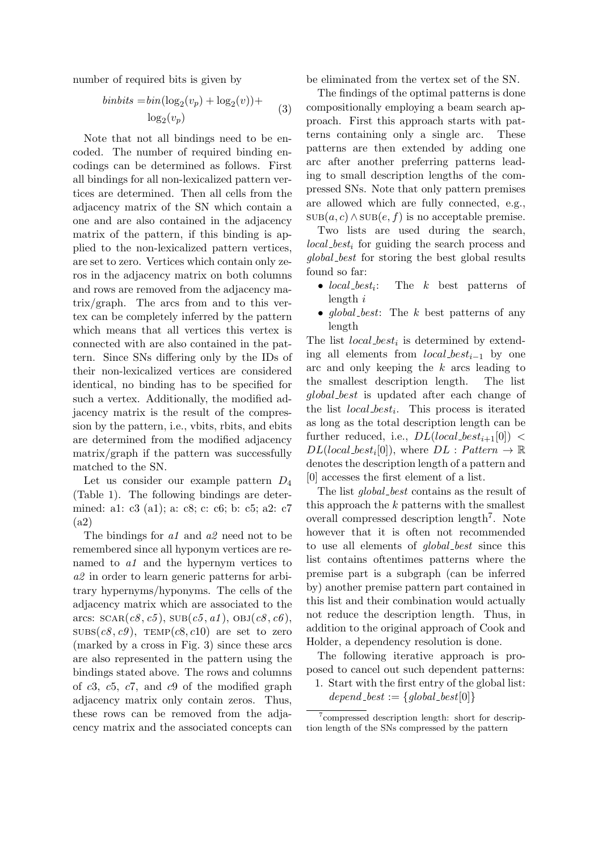number of required bits is given by

$$
binbits = bin(\log_2(v_p) + \log_2(v)) + \log_2(v_p)
$$
\n
$$
\log_2(v_p)
$$
\n(3)

Note that not all bindings need to be encoded. The number of required binding encodings can be determined as follows. First all bindings for all non-lexicalized pattern vertices are determined. Then all cells from the adjacency matrix of the SN which contain a one and are also contained in the adjacency matrix of the pattern, if this binding is applied to the non-lexicalized pattern vertices, are set to zero. Vertices which contain only zeros in the adjacency matrix on both columns and rows are removed from the adjacency matrix/graph. The arcs from and to this vertex can be completely inferred by the pattern which means that all vertices this vertex is connected with are also contained in the pattern. Since SNs differing only by the IDs of their non-lexicalized vertices are considered identical, no binding has to be specified for such a vertex. Additionally, the modified adjacency matrix is the result of the compression by the pattern, i.e., vbits, rbits, and ebits are determined from the modified adjacency matrix/graph if the pattern was successfully matched to the SN.

Let us consider our example pattern  $D_4$ (Table 1). The following bindings are determined: a1: c3 (a1); a: c8; c: c6; b: c5; a2: c7 (a2)

The bindings for al and a<sub>2</sub> need not to be remembered since all hyponym vertices are renamed to a1 and the hypernym vertices to a2 in order to learn generic patterns for arbitrary hypernyms/hyponyms. The cells of the adjacency matrix which are associated to the arcs:  $SCAR(c8, c5)$ ,  $SUB(c5, a1)$ ,  $OBJ(c8, c6)$ ,  $\text{SUBS}(c8, c9)$ ,  $\text{TEMP}(c8, c10)$  are set to zero (marked by a cross in Fig. 3) since these arcs are also represented in the pattern using the bindings stated above. The rows and columns of  $c3$ ,  $c5$ ,  $c7$ , and  $c9$  of the modified graph adjacency matrix only contain zeros. Thus, these rows can be removed from the adjacency matrix and the associated concepts can

be eliminated from the vertex set of the SN.

The findings of the optimal patterns is done compositionally employing a beam search approach. First this approach starts with patterns containing only a single arc. These patterns are then extended by adding one arc after another preferring patterns leading to small description lengths of the compressed SNs. Note that only pattern premises are allowed which are fully connected, e.g.,  $\text{SUB}(a, c) \wedge \text{SUB}(e, f)$  is no acceptable premise.

Two lists are used during the search,  $local\_best_i$  for guiding the search process and global best for storing the best global results found so far:

- $local\_best_i$ : The  $k$  best patterns of length i
- global\_best: The k best patterns of any length

The list  $local\_best_i$  is determined by extending all elements from *local* best<sub>i-1</sub> by one arc and only keeping the k arcs leading to the smallest description length. The list global best is updated after each change of the list  $local\_best_i$ . This process is iterated as long as the total description length can be further reduced, i.e.,  $DL(local\_best_{i+1}[0])$  <  $DL(local\_best_i[0])$ , where  $DL: Pattern \rightarrow \mathbb{R}$ denotes the description length of a pattern and [0] accesses the first element of a list.

The list *global\_best* contains as the result of this approach the  $k$  patterns with the smallest overall compressed description length<sup>7</sup>. Note however that it is often not recommended to use all elements of *global* best since this list contains oftentimes patterns where the premise part is a subgraph (can be inferred by) another premise pattern part contained in this list and their combination would actually not reduce the description length. Thus, in addition to the original approach of Cook and Holder, a dependency resolution is done.

The following iterative approach is proposed to cancel out such dependent patterns:

1. Start with the first entry of the global list:  $depend\_best := \{global\_best[0]\}$ 

<sup>7</sup> compressed description length: short for description length of the SNs compressed by the pattern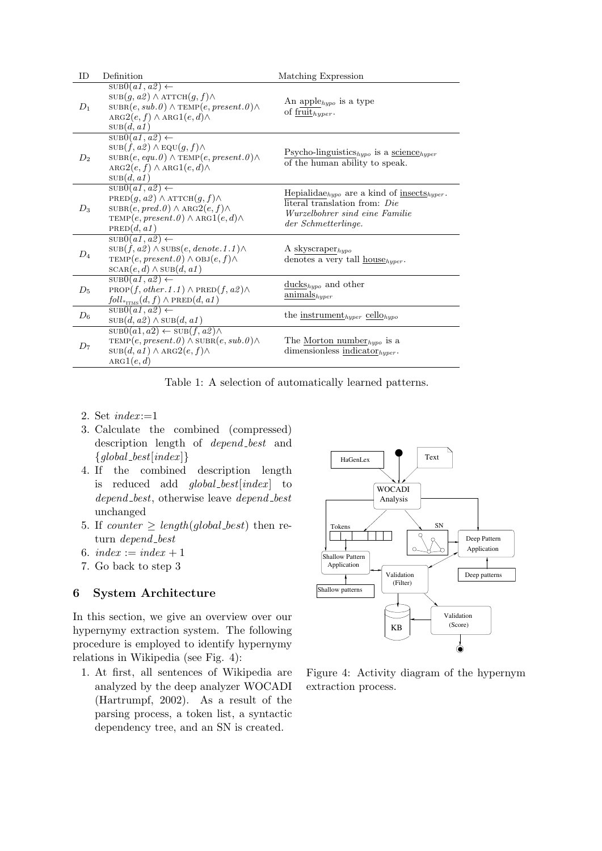| ID    | Definition                                                                                                                                                                                                                              | Matching Expression                                                                                                                                                        |
|-------|-----------------------------------------------------------------------------------------------------------------------------------------------------------------------------------------------------------------------------------------|----------------------------------------------------------------------------------------------------------------------------------------------------------------------------|
| $D_1$ | $\overline{\text{SUB0}(a1,a2)}$ $\leftarrow$<br>$SUB(g, a2) \wedge ATTCH(g, f) \wedge$<br>$SUBR(e, sub.0) \wedge TEMP(e, present.0) \wedge$<br>$\text{ARG2}(e, f) \wedge \text{ARG1}(e, d) \wedge$<br>SUB(d, a1)                        | An apple <sub>hypo</sub> is a type<br>of fruit <sub>hyper</sub> .                                                                                                          |
| $D_2$ | $\overline{\text{SUB0}(a1, a2)} \leftarrow$<br>$\text{SUB}(f, a2) \wedge \text{EQU}(q, f) \wedge$<br>$SUBR(e, equ. \theta) \wedge TEMP(e, present. \theta) \wedge$<br>$\text{ARG2}(e, f) \wedge \text{ARG1}(e, d) \wedge$<br>SUB(d, a1) | Psycho-linguistics $_{hypo}$ is a science <sub>hyper</sub><br>of the human ability to speak.                                                                               |
| $D_3$ | $\overline{\text{SUB0}(a1, a2)} \leftarrow$<br>PRED $(g, a2) \wedge$ ATTCH $(g, f) \wedge$<br>$SUBR(e, pred. 0) \wedge ARG2(e, f) \wedge$<br>TEMP $(e, present.\theta) \wedge \text{ARG1}(e,d) \wedge$<br>PRED(d, a1)                   | Hepialidae <sub>hypo</sub> are a kind of <u>insects<sub>hyper</sub></u> .<br>literal translation from: Die<br><i>Wurzelbohrer sind eine Familie</i><br>der Schmetterlinge. |
| $D_4$ | $\overline{\text{SUB0}(a1, a2)} \leftarrow$<br>$\text{SUB}(f, a2) \wedge \text{SUB}(e, denote.1.1) \wedge$<br>TEMP $(e, present.\theta) \wedge$ OBJ $(e, f) \wedge$<br>$\text{SCAR}(e, d) \wedge \text{SUB}(d, a1)$                     | A skyscraper $_{hypo}$<br>denotes a very tall $\underline{house}_{hyper}$ .                                                                                                |
| $D_5$ | $\text{SUB0}(a1, a2) \leftarrow$<br>PROP $(f, other.1.1) \wedge \text{PRED}(f, a2) \wedge$<br>$\textit{follow}_{\text{trms}}(d, f) \wedge \text{PRED}(d, a1)$                                                                           | $\underline{\text{ducks}}_{hypo}$ and other<br>$\text{animals}_{hyper}$                                                                                                    |
| $D_6$ | $\overline{\text{SUB0}(a1, a2)}$ $\leftarrow$<br>$SUB(d, a2) \wedge SUB(d, a1)$                                                                                                                                                         | the instrument <sub>hyper</sub> cello <sub>hypo</sub>                                                                                                                      |
| $D_7$ | $\overline{\text{SUB0}(a1,a2)} \leftarrow \text{SUB}(f,a2) \wedge$<br>TEMP $(e, present.0) \wedge SUBR(e, sub.0) \wedge$<br>$SUB(d, a1) \wedge ARG2(e, f) \wedge$<br>ARG $1(e, d)$                                                      | The <u>Morton number</u> <sub>hypo</sub> is a<br>dimensionless $\underline{\text{indication}}_{hyper}$ .                                                                   |

Table 1: A selection of automatically learned patterns.

- 2. Set  $index := 1$
- 3. Calculate the combined (compressed) description length of *depend* best and  ${global\_best}[index]$
- 4. If the combined description length is reduced add  $qlobal\_best[index]$  to depend best, otherwise leave depend best unchanged
- 5. If counter  $\geq$  length(global\_best) then return depend\_best
- 6. index := index + 1
- 7. Go back to step 3

## 6 System Architecture

In this section, we give an overview over our hypernymy extraction system. The following procedure is employed to identify hypernymy relations in Wikipedia (see Fig. 4):

1. At first, all sentences of Wikipedia are analyzed by the deep analyzer WOCADI (Hartrumpf, 2002). As a result of the parsing process, a token list, a syntactic dependency tree, and an SN is created.



Figure 4: Activity diagram of the hypernym extraction process.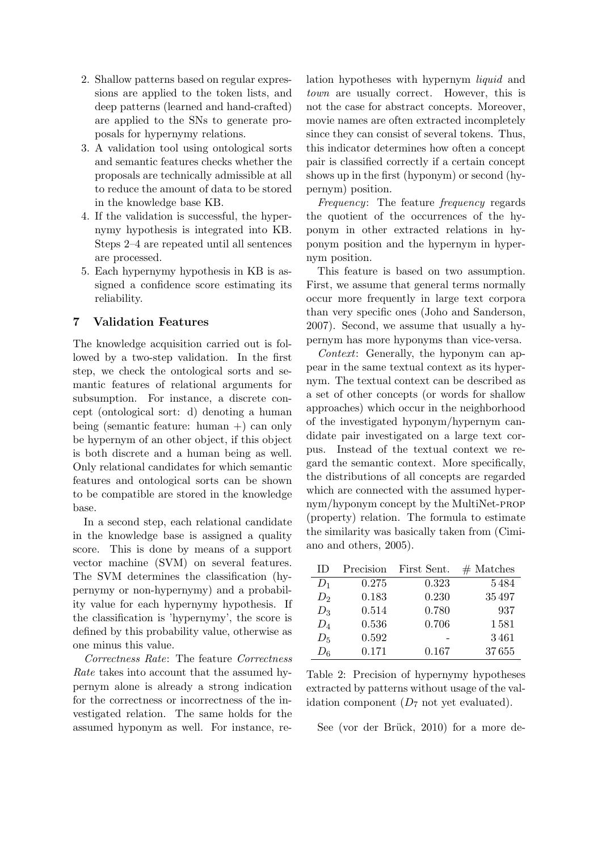- 2. Shallow patterns based on regular expressions are applied to the token lists, and deep patterns (learned and hand-crafted) are applied to the SNs to generate proposals for hypernymy relations.
- 3. A validation tool using ontological sorts and semantic features checks whether the proposals are technically admissible at all to reduce the amount of data to be stored in the knowledge base KB.
- 4. If the validation is successful, the hypernymy hypothesis is integrated into KB. Steps 2–4 are repeated until all sentences are processed.
- 5. Each hypernymy hypothesis in KB is assigned a confidence score estimating its reliability.

#### 7 Validation Features

The knowledge acquisition carried out is followed by a two-step validation. In the first step, we check the ontological sorts and semantic features of relational arguments for subsumption. For instance, a discrete concept (ontological sort: d) denoting a human being (semantic feature: human +) can only be hypernym of an other object, if this object is both discrete and a human being as well. Only relational candidates for which semantic features and ontological sorts can be shown to be compatible are stored in the knowledge base.

In a second step, each relational candidate in the knowledge base is assigned a quality score. This is done by means of a support vector machine (SVM) on several features. The SVM determines the classification (hypernymy or non-hypernymy) and a probability value for each hypernymy hypothesis. If the classification is 'hypernymy', the score is defined by this probability value, otherwise as one minus this value.

Correctness Rate: The feature Correctness Rate takes into account that the assumed hypernym alone is already a strong indication for the correctness or incorrectness of the investigated relation. The same holds for the assumed hyponym as well. For instance, relation hypotheses with hypernym liquid and town are usually correct. However, this is not the case for abstract concepts. Moreover, movie names are often extracted incompletely since they can consist of several tokens. Thus, this indicator determines how often a concept pair is classified correctly if a certain concept shows up in the first (hyponym) or second (hypernym) position.

Frequency: The feature frequency regards the quotient of the occurrences of the hyponym in other extracted relations in hyponym position and the hypernym in hypernym position.

This feature is based on two assumption. First, we assume that general terms normally occur more frequently in large text corpora than very specific ones (Joho and Sanderson, 2007). Second, we assume that usually a hypernym has more hyponyms than vice-versa.

Context: Generally, the hyponym can appear in the same textual context as its hypernym. The textual context can be described as a set of other concepts (or words for shallow approaches) which occur in the neighborhood of the investigated hyponym/hypernym candidate pair investigated on a large text corpus. Instead of the textual context we regard the semantic context. More specifically, the distributions of all concepts are regarded which are connected with the assumed hypernym/hyponym concept by the MultiNet-prop (property) relation. The formula to estimate the similarity was basically taken from (Cimiano and others, 2005).

| $\Box$ | Precision | First Sent. | $#$ Matches |
|--------|-----------|-------------|-------------|
| $D_1$  | 0.275     | 0.323       | 5484        |
| $D_2$  | 0.183     | 0.230       | 35497       |
| $D_3$  | 0.514     | 0.780       | 937         |
| $D_4$  | 0.536     | 0.706       | 1581        |
| $D_5$  | 0.592     |             | 3461        |
| $D_6$  | 0.171     | 0.167       | 37655       |

Table 2: Precision of hypernymy hypotheses extracted by patterns without usage of the validation component  $(D_7 \text{ not yet evaluated}).$ 

See (vor der Brück, 2010) for a more de-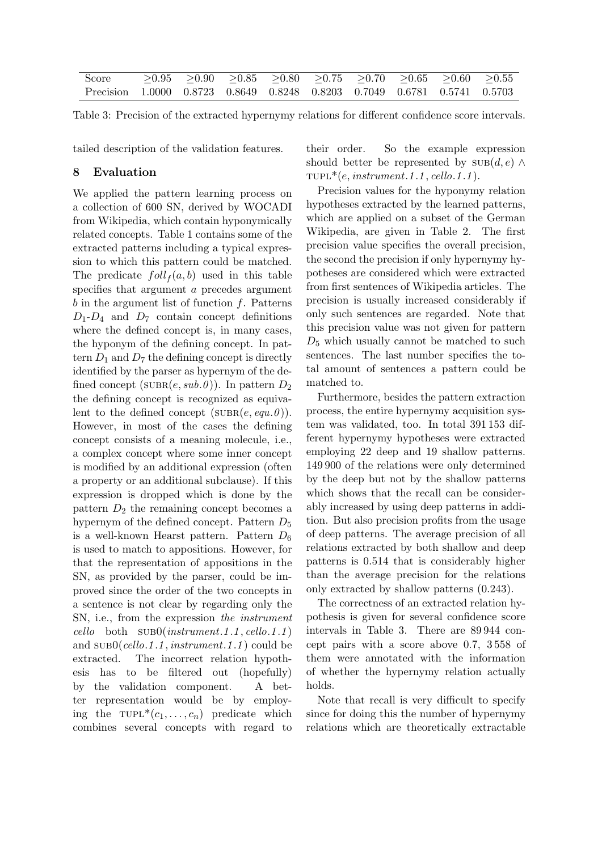| Score                                                                    |  |  |  |  | $>0.95$ $>0.90$ $>0.85$ $>0.80$ $>0.75$ $>0.70$ $>0.65$ $>0.60$ $>0.55$ |
|--------------------------------------------------------------------------|--|--|--|--|-------------------------------------------------------------------------|
| Precision 1.0000 0.8723 0.8649 0.8248 0.8203 0.7049 0.6781 0.5741 0.5703 |  |  |  |  |                                                                         |

Table 3: Precision of the extracted hypernymy relations for different confidence score intervals.

tailed description of the validation features.

### 8 Evaluation

We applied the pattern learning process on a collection of 600 SN, derived by WOCADI from Wikipedia, which contain hyponymically related concepts. Table 1 contains some of the extracted patterns including a typical expression to which this pattern could be matched. The predicate  $foll_f(a, b)$  used in this table specifies that argument a precedes argument  $b$  in the argument list of function  $f$ . Patterns  $D_1$ - $D_4$  and  $D_7$  contain concept definitions where the defined concept is, in many cases, the hyponym of the defining concept. In pattern  $D_1$  and  $D_7$  the defining concept is directly identified by the parser as hypernym of the defined concept ( $SUBR(e, sub. \theta)$ ). In pattern  $D_2$ the defining concept is recognized as equivalent to the defined concept ( $SUBR(e, equ.0)$ ). However, in most of the cases the defining concept consists of a meaning molecule, i.e., a complex concept where some inner concept is modified by an additional expression (often a property or an additional subclause). If this expression is dropped which is done by the pattern  $D_2$  the remaining concept becomes a hypernym of the defined concept. Pattern  $D_5$ is a well-known Hearst pattern. Pattern  $D_6$ is used to match to appositions. However, for that the representation of appositions in the SN, as provided by the parser, could be improved since the order of the two concepts in a sentence is not clear by regarding only the SN, i.e., from the expression the instrument  $cello$  both  $SUB0(instrument.1.1, cello.1.1)$ and  $SUB0(cello.1.1, instrument.1.1)$  could be extracted. The incorrect relation hypothesis has to be filtered out (hopefully) by the validation component. A better representation would be by employing the  $TUPL^*(c_1, \ldots, c_n)$  predicate which combines several concepts with regard to

their order. So the example expression should better be represented by  $\text{SUB}(d, e) \wedge$  $TUPL*(e, instrument.1.1, cello.1.1).$ 

Precision values for the hyponymy relation hypotheses extracted by the learned patterns, which are applied on a subset of the German Wikipedia, are given in Table 2. The first precision value specifies the overall precision, the second the precision if only hypernymy hypotheses are considered which were extracted from first sentences of Wikipedia articles. The precision is usually increased considerably if only such sentences are regarded. Note that this precision value was not given for pattern  $D_5$  which usually cannot be matched to such sentences. The last number specifies the total amount of sentences a pattern could be matched to.

Furthermore, besides the pattern extraction process, the entire hypernymy acquisition system was validated, too. In total 391 153 different hypernymy hypotheses were extracted employing 22 deep and 19 shallow patterns. 149 900 of the relations were only determined by the deep but not by the shallow patterns which shows that the recall can be considerably increased by using deep patterns in addition. But also precision profits from the usage of deep patterns. The average precision of all relations extracted by both shallow and deep patterns is 0.514 that is considerably higher than the average precision for the relations only extracted by shallow patterns (0.243).

The correctness of an extracted relation hypothesis is given for several confidence score intervals in Table 3. There are 89 944 concept pairs with a score above 0.7, 3 558 of them were annotated with the information of whether the hypernymy relation actually holds.

Note that recall is very difficult to specify since for doing this the number of hypernymy relations which are theoretically extractable